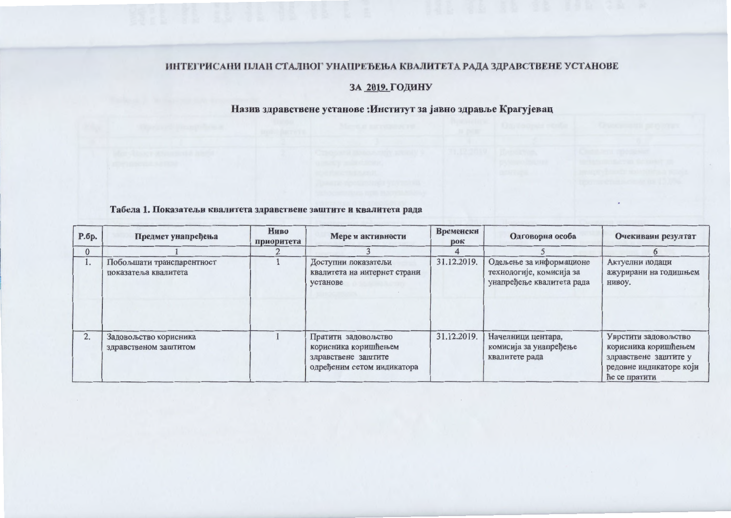#### ИНТЕГРИСАНИ ПЛАН СТАЛНОГ УНАПРЕЂЕЊА КВАЛИТЕТА РАДА ЗДРАВСТВЕНЕ УСТАНОВЕ

### ЗА 2019. ГОДИНУ

# Назив здравствене установе : Институт за јавно здравље Крагујевац

#### Табела 1. Показатељи квалитета здравствене заштите и квалитета рада

| P.6p.        | Предмет унапређења                                | Ниво<br>приоритета | Мере и активности                                                                                | Временски<br>рок | Одговорна особа                                                                  | Очекивани резултат                                                                                                |
|--------------|---------------------------------------------------|--------------------|--------------------------------------------------------------------------------------------------|------------------|----------------------------------------------------------------------------------|-------------------------------------------------------------------------------------------------------------------|
| $\mathbf{0}$ |                                                   |                    |                                                                                                  |                  |                                                                                  |                                                                                                                   |
| ı.           | Побољшати транспарентност<br>показатеља квалитета |                    | Доступни показатељи<br>квалитета на интернет страни<br>установе                                  | 31.12.2019.      | Одељење за информационе<br>технологије, комисија за<br>унапређење квалитета рада | Актуелни подаци<br>ажурирани на годишњем<br>нивоу.                                                                |
| 2.           | Задовољство корисника<br>здравственом заштитом    |                    | Пратити задовољство<br>корисника коришћењем<br>здравствене заштите<br>одређеним сетом индикатора | 31.12.2019.      | Начелници центара,<br>комисија за унапређење<br>квалитете рада                   | Уврстити задовољство<br>корисника коришћењем<br>здравствене заштите у<br>редовне индикаторе који<br>ће се пратити |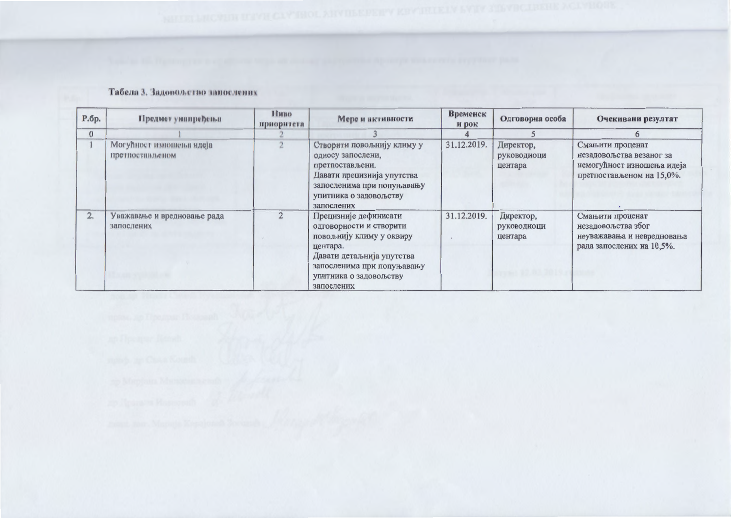# Табела 3. Задовољство запослених

| P.6p.          | Предмет унапређења                          | Huno<br>приоритета | Мере и активности                                                                                                                                                                           | Временск<br>и рок | Одговорна особа                     | Очекивани резултат                                                                                      |
|----------------|---------------------------------------------|--------------------|---------------------------------------------------------------------------------------------------------------------------------------------------------------------------------------------|-------------------|-------------------------------------|---------------------------------------------------------------------------------------------------------|
| $\overline{0}$ |                                             |                    |                                                                                                                                                                                             |                   |                                     |                                                                                                         |
|                | Могућност изношења идеја<br>претпостављеном |                    | Створити повољнију климу у<br>односу запослени,<br>претпостављени.<br>Давати прецизнија упутства<br>запосленима при попуњавању<br>упитника о задовољству<br>запослених                      | 31.12.2019.       | Директор,<br>руководиоци<br>центара | Смањити проценат<br>незадовољства везаног за<br>немогућност изношења идеја<br>претпостављеном на 15,0%. |
| 2.             | Уважавање и вредновање рада<br>запослених   |                    | Прецизније дефинисати<br>одговорности и створити<br>повољнију климу у оквиру<br>центара.<br>Давати детаљнија упутства<br>запосленима при попуњавању<br>упитника о задовољству<br>запослених | 31.12.2019.       | Директор,<br>руководиоци<br>центара | Смањити проценат<br>незадовољства због<br>неуважавања и невредновања<br>рада запослених на 10,5%.       |